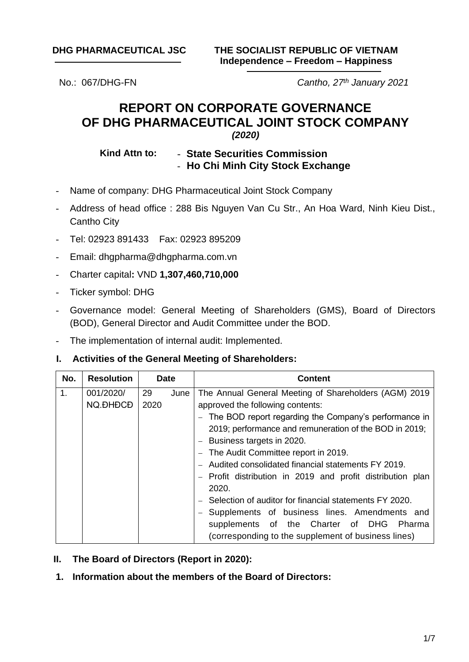**DHG PHARMACEUTICAL JSC THE SOCIALIST REPUBLIC OF VIETNAM Independence – Freedom – Happiness**

No.: 067/DHG-FN *Cantho, 27th January 2021*

# **REPORT ON CORPORATE GOVERNANCE OF DHG PHARMACEUTICAL JOINT STOCK COMPANY**

# *(2020)*

## **Kind Attn to:** - **State Securities Commission** - **Ho Chi Minh City Stock Exchange**

- Name of company: DHG Pharmaceutical Joint Stock Company
- Address of head office : 288 Bis Nguyen Van Cu Str., An Hoa Ward, Ninh Kieu Dist., Cantho City
- Tel: 02923 891433 Fax: 02923 895209
- Email: dhgpharma@dhgpharma.com.vn
- Charter capital**:** VND **1,307,460,710,000**
- Ticker symbol: DHG
- Governance model: General Meeting of Shareholders (GMS), Board of Directors (BOD), General Director and Audit Committee under the BOD.
- The implementation of internal audit: Implemented.

### **I. Activities of the General Meeting of Shareholders:**

| No. | <b>Resolution</b> |      | <b>Date</b> | <b>Content</b>                                           |  |  |
|-----|-------------------|------|-------------|----------------------------------------------------------|--|--|
| 1.  | 001/2020/         | 29   | June        | The Annual General Meeting of Shareholders (AGM) 2019    |  |  |
|     | NQ.ĐHĐCĐ          | 2020 |             | approved the following contents:                         |  |  |
|     |                   |      |             | The BOD report regarding the Company's performance in    |  |  |
|     |                   |      |             | 2019; performance and remuneration of the BOD in 2019;   |  |  |
|     |                   |      |             | Business targets in 2020.                                |  |  |
|     |                   |      |             | The Audit Committee report in 2019.                      |  |  |
|     |                   |      |             | Audited consolidated financial statements FY 2019.       |  |  |
|     |                   |      |             | Profit distribution in 2019 and profit distribution plan |  |  |
|     |                   |      |             | 2020.                                                    |  |  |
|     |                   |      |             | Selection of auditor for financial statements FY 2020.   |  |  |
|     |                   |      |             | Supplements of business lines. Amendments and            |  |  |
|     |                   |      |             | supplements of the Charter of DHG<br>Pharma              |  |  |
|     |                   |      |             | (corresponding to the supplement of business lines)      |  |  |

- **II. The Board of Directors (Report in 2020):**
- **1. Information about the members of the Board of Directors:**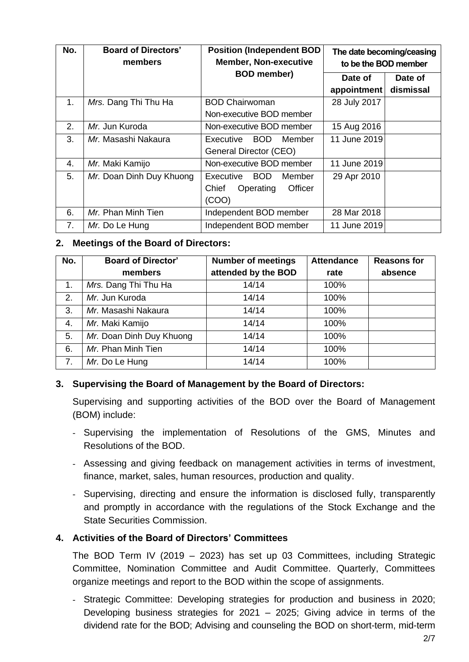| No. | <b>Board of Directors'</b><br>members | <b>Position (Independent BOD</b><br><b>Member, Non-executive</b> | The date becoming/ceasing<br>to be the BOD member |
|-----|---------------------------------------|------------------------------------------------------------------|---------------------------------------------------|
|     |                                       | <b>BOD</b> member)                                               | Date of<br>Date of                                |
|     |                                       |                                                                  | appointment<br>dismissal                          |
| 1.  | Mrs. Dang Thi Thu Ha                  | <b>BOD Chairwoman</b>                                            | 28 July 2017                                      |
|     |                                       | Non-executive BOD member                                         |                                                   |
| 2.  | Mr. Jun Kuroda                        | Non-executive BOD member                                         | 15 Aug 2016                                       |
| 3.  | Mr. Masashi Nakaura                   | BOD<br>Executive<br>Member                                       | 11 June 2019                                      |
|     |                                       | General Director (CEO)                                           |                                                   |
| 4.  | Mr. Maki Kamijo                       | Non-executive BOD member                                         | 11 June 2019                                      |
| 5.  | Mr. Doan Dinh Duy Khuong              | <b>BOD</b><br>Executive<br>Member                                | 29 Apr 2010                                       |
|     |                                       | Officer<br>Chief<br>Operating                                    |                                                   |
|     |                                       | (COO)                                                            |                                                   |
| 6.  | Mr. Phan Minh Tien                    | Independent BOD member                                           | 28 Mar 2018                                       |
| 7.  | Mr. Do Le Hung                        | Independent BOD member                                           | 11 June 2019                                      |

# **2. Meetings of the Board of Directors:**

| No.            | <b>Board of Director'</b> | <b>Number of meetings</b> | <b>Attendance</b> | <b>Reasons for</b> |
|----------------|---------------------------|---------------------------|-------------------|--------------------|
|                | members                   | attended by the BOD       | rate              | absence            |
| $\mathbf{1}$ . | Mrs. Dang Thi Thu Ha      | 14/14                     | 100%              |                    |
| 2.             | Mr. Jun Kuroda            | 14/14                     | 100%              |                    |
| 3.             | Mr. Masashi Nakaura       | 14/14                     | 100%              |                    |
| 4.             | Mr. Maki Kamijo           | 14/14                     | 100%              |                    |
| 5.             | Mr. Doan Dinh Duy Khuong  | 14/14                     | 100%              |                    |
| 6.             | Mr. Phan Minh Tien        | 14/14                     | 100%              |                    |
| 7.             | Mr. Do Le Hung            | 14/14                     | 100%              |                    |

# **3. Supervising the Board of Management by the Board of Directors:**

Supervising and supporting activities of the BOD over the Board of Management (BOM) include:

- Supervising the implementation of Resolutions of the GMS, Minutes and Resolutions of the BOD.
- Assessing and giving feedback on management activities in terms of investment, finance, market, sales, human resources, production and quality.
- Supervising, directing and ensure the information is disclosed fully, transparently and promptly in accordance with the regulations of the Stock Exchange and the State Securities Commission.

# **4. Activities of the Board of Directors' Committees**

The BOD Term IV (2019 – 2023) has set up 03 Committees, including Strategic Committee, Nomination Committee and Audit Committee. Quarterly, Committees organize meetings and report to the BOD within the scope of assignments.

- Strategic Committee: Developing strategies for production and business in 2020; Developing business strategies for 2021 – 2025; Giving advice in terms of the dividend rate for the BOD; Advising and counseling the BOD on short-term, mid-term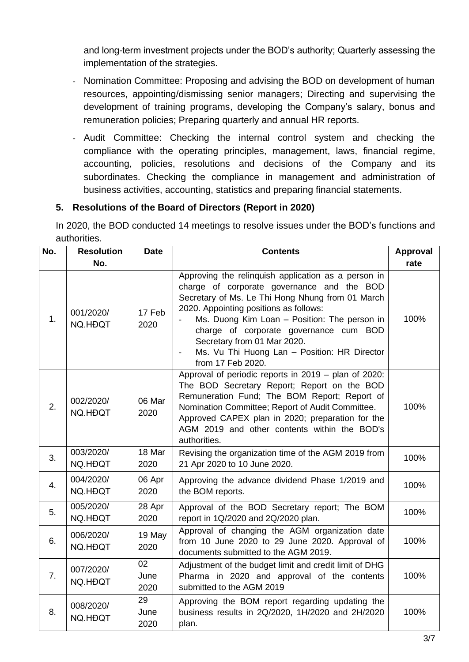and long-term investment projects under the BOD's authority; Quarterly assessing the implementation of the strategies.

- Nomination Committee: Proposing and advising the BOD on development of human resources, appointing/dismissing senior managers; Directing and supervising the development of training programs, developing the Company's salary, bonus and remuneration policies; Preparing quarterly and annual HR reports.
- Audit Committee: Checking the internal control system and checking the compliance with the operating principles, management, laws, financial regime, accounting, policies, resolutions and decisions of the Company and its subordinates. Checking the compliance in management and administration of business activities, accounting, statistics and preparing financial statements.

# **5. Resolutions of the Board of Directors (Report in 2020)**

In 2020, the BOD conducted 14 meetings to resolve issues under the BOD's functions and authorities.

| No.            | <b>Resolution</b>    | <b>Date</b>        | <b>Contents</b>                                                                                                                                                                                                                                                                                                                                                                               | <b>Approval</b> |
|----------------|----------------------|--------------------|-----------------------------------------------------------------------------------------------------------------------------------------------------------------------------------------------------------------------------------------------------------------------------------------------------------------------------------------------------------------------------------------------|-----------------|
|                | No.                  |                    |                                                                                                                                                                                                                                                                                                                                                                                               | rate            |
| 1 <sub>1</sub> | 001/2020/<br>NQ.HĐQT | 17 Feb<br>2020     | Approving the relinquish application as a person in<br>charge of corporate governance and the BOD<br>Secretary of Ms. Le Thi Hong Nhung from 01 March<br>2020. Appointing positions as follows:<br>Ms. Duong Kim Loan - Position: The person in<br>charge of corporate governance cum BOD<br>Secretary from 01 Mar 2020.<br>Ms. Vu Thi Huong Lan - Position: HR Director<br>from 17 Feb 2020. | 100%            |
| 2.             | 002/2020/<br>NQ.HĐQT | 06 Mar<br>2020     | Approval of periodic reports in 2019 - plan of 2020:<br>The BOD Secretary Report; Report on the BOD<br>Remuneration Fund; The BOM Report; Report of<br>Nomination Committee; Report of Audit Committee.<br>Approved CAPEX plan in 2020; preparation for the<br>AGM 2019 and other contents within the BOD's<br>authorities.                                                                   | 100%            |
| 3.             | 003/2020/<br>NQ.HĐQT | 18 Mar<br>2020     | Revising the organization time of the AGM 2019 from<br>21 Apr 2020 to 10 June 2020.                                                                                                                                                                                                                                                                                                           | 100%            |
| 4.             | 004/2020/<br>NQ.HĐQT | 06 Apr<br>2020     | Approving the advance dividend Phase 1/2019 and<br>the BOM reports.                                                                                                                                                                                                                                                                                                                           | 100%            |
| 5.             | 005/2020/<br>NQ.HĐQT | 28 Apr<br>2020     | Approval of the BOD Secretary report; The BOM<br>report in 1Q/2020 and 2Q/2020 plan.                                                                                                                                                                                                                                                                                                          | 100%            |
| 6.             | 006/2020/<br>NQ.HĐQT | 19 May<br>2020     | Approval of changing the AGM organization date<br>from 10 June 2020 to 29 June 2020. Approval of<br>documents submitted to the AGM 2019.                                                                                                                                                                                                                                                      | 100%            |
| 7.             | 007/2020/<br>NQ.HĐQT | 02<br>June<br>2020 | Adjustment of the budget limit and credit limit of DHG<br>Pharma in 2020 and approval of the contents<br>submitted to the AGM 2019                                                                                                                                                                                                                                                            | 100%            |
| 8.             | 008/2020/<br>NQ.HĐQT | 29<br>June<br>2020 | Approving the BOM report regarding updating the<br>business results in 2Q/2020, 1H/2020 and 2H/2020<br>plan.                                                                                                                                                                                                                                                                                  | 100%            |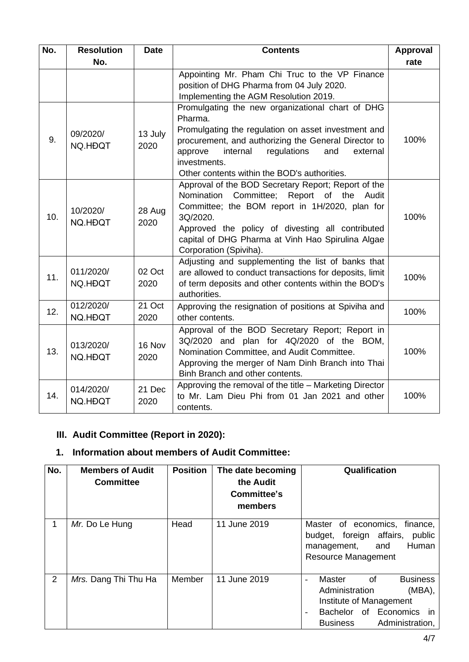| No. | <b>Resolution</b>    | <b>Date</b>     | <b>Contents</b>                                                                                                                                                                                                                                                                                      | Approval |
|-----|----------------------|-----------------|------------------------------------------------------------------------------------------------------------------------------------------------------------------------------------------------------------------------------------------------------------------------------------------------------|----------|
|     | No.                  |                 |                                                                                                                                                                                                                                                                                                      | rate     |
|     |                      |                 | Appointing Mr. Pham Chi Truc to the VP Finance<br>position of DHG Pharma from 04 July 2020.<br>Implementing the AGM Resolution 2019.                                                                                                                                                                 |          |
| 9.  | 09/2020/<br>NQ.HĐQT  | 13 July<br>2020 | Promulgating the new organizational chart of DHG<br>Pharma.<br>Promulgating the regulation on asset investment and<br>procurement, and authorizing the General Director to<br>internal<br>regulations<br>and<br>external<br>approve<br>investments.<br>Other contents within the BOD's authorities.  | 100%     |
| 10. | 10/2020/<br>NQ.HĐQT  | 28 Aug<br>2020  | Approval of the BOD Secretary Report; Report of the<br>Committee; Report of the Audit<br>Nomination<br>Committee; the BOM report in 1H/2020, plan for<br>3Q/2020.<br>Approved the policy of divesting all contributed<br>capital of DHG Pharma at Vinh Hao Spirulina Algae<br>Corporation (Spiviha). | 100%     |
| 11. | 011/2020/<br>NQ.HĐQT | 02 Oct<br>2020  | Adjusting and supplementing the list of banks that<br>are allowed to conduct transactions for deposits, limit<br>of term deposits and other contents within the BOD's<br>authorities.                                                                                                                | 100%     |
| 12. | 012/2020/<br>NQ.HĐQT | 21 Oct<br>2020  | Approving the resignation of positions at Spiviha and<br>other contents.                                                                                                                                                                                                                             | 100%     |
| 13. | 013/2020/<br>NQ.HĐQT | 16 Nov<br>2020  | Approval of the BOD Secretary Report; Report in<br>3Q/2020 and plan for 4Q/2020 of the BOM,<br>Nomination Committee, and Audit Committee.<br>Approving the merger of Nam Dinh Branch into Thai<br>Binh Branch and other contents.                                                                    | 100%     |
| 14. | 014/2020/<br>NQ.HĐQT | 21 Dec<br>2020  | Approving the removal of the title - Marketing Director<br>to Mr. Lam Dieu Phi from 01 Jan 2021 and other<br>contents.                                                                                                                                                                               | 100%     |

# **III. Audit Committee (Report in 2020):**

# **1. Information about members of Audit Committee:**

| No. | <b>Members of Audit</b><br><b>Committee</b> | <b>Position</b> | The date becoming<br>the Audit<br>Committee's<br>members | Qualification                                                                                                                                                                                         |
|-----|---------------------------------------------|-----------------|----------------------------------------------------------|-------------------------------------------------------------------------------------------------------------------------------------------------------------------------------------------------------|
| 1   | Mr. Do Le Hung                              | Head            | 11 June 2019                                             | Master of economics,<br>finance,<br>budget, foreign affairs,<br>public<br>Human<br>and<br>management,<br><b>Resource Management</b>                                                                   |
| 2   | Mrs. Dang Thi Thu Ha                        | Member          | 11 June 2019                                             | <b>Master</b><br><b>Business</b><br>of<br>$\sim$<br>Administration<br>(MBA),<br>Institute of Management<br>Bachelor of Economics in<br>$\overline{\phantom{a}}$<br><b>Business</b><br>Administration, |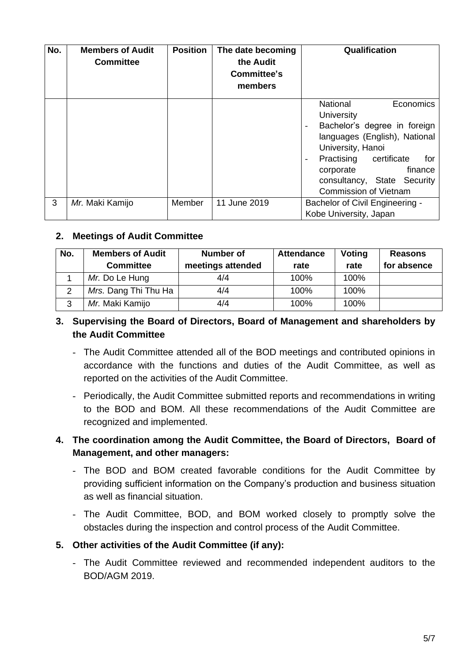| No. | <b>Members of Audit</b><br><b>Committee</b> | <b>Position</b> | The date becoming<br>the Audit<br><b>Committee's</b><br>members | Qualification                                                                                                                                                                                                                                                                                                       |
|-----|---------------------------------------------|-----------------|-----------------------------------------------------------------|---------------------------------------------------------------------------------------------------------------------------------------------------------------------------------------------------------------------------------------------------------------------------------------------------------------------|
|     |                                             |                 |                                                                 | <b>National</b><br>Economics<br>University<br>Bachelor's degree in foreign<br>$\overline{\phantom{0}}$<br>languages (English), National<br>University, Hanoi<br>certificate<br>Practising<br>for<br>$\overline{\phantom{a}}$<br>finance<br>corporate<br>consultancy, State Security<br><b>Commission of Vietnam</b> |
| 3   | Mr. Maki Kamijo                             | Member          | 11 June 2019                                                    | Bachelor of Civil Engineering -<br>Kobe University, Japan                                                                                                                                                                                                                                                           |

## **2. Meetings of Audit Committee**

| No. | <b>Members of Audit</b> | <b>Number of</b>  | <b>Attendance</b> | Voting | <b>Reasons</b> |
|-----|-------------------------|-------------------|-------------------|--------|----------------|
|     | <b>Committee</b>        | meetings attended | rate              | rate   | for absence    |
|     | Mr. Do Le Hung          | 4/4               | 100%              | 100%   |                |
| 2   | Mrs. Dang Thi Thu Ha    | 4/4               | 100%              | 100%   |                |
| 3   | Mr. Maki Kamijo         | 4/4               | 100%              | 100%   |                |

# **3. Supervising the Board of Directors, Board of Management and shareholders by the Audit Committee**

- The Audit Committee attended all of the BOD meetings and contributed opinions in accordance with the functions and duties of the Audit Committee, as well as reported on the activities of the Audit Committee.
- Periodically, the Audit Committee submitted reports and recommendations in writing to the BOD and BOM. All these recommendations of the Audit Committee are recognized and implemented.

# **4. The coordination among the Audit Committee, the Board of Directors, Board of Management, and other managers:**

- The BOD and BOM created favorable conditions for the Audit Committee by providing sufficient information on the Company's production and business situation as well as financial situation.
- The Audit Committee, BOD, and BOM worked closely to promptly solve the obstacles during the inspection and control process of the Audit Committee.

# **5. Other activities of the Audit Committee (if any):**

- The Audit Committee reviewed and recommended independent auditors to the BOD/AGM 2019.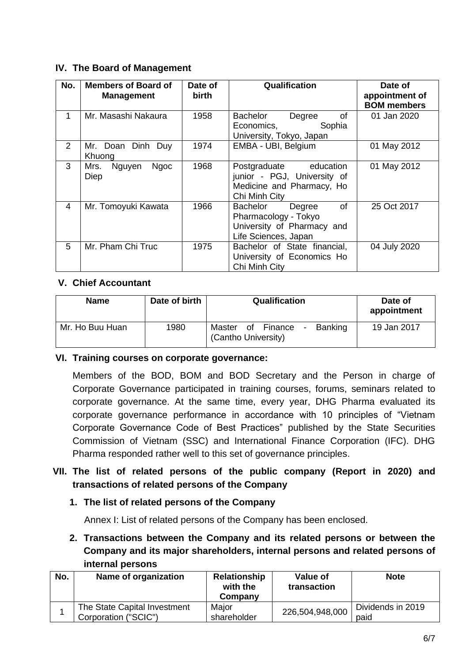# **IV. The Board of Management**

| No.            | <b>Members of Board of</b><br><b>Management</b> | Date of<br><b>birth</b> | Qualification                                                                                          | Date of<br>appointment of<br><b>BOM</b> members |
|----------------|-------------------------------------------------|-------------------------|--------------------------------------------------------------------------------------------------------|-------------------------------------------------|
|                | Mr. Masashi Nakaura                             | 1958                    | Bachelor<br>Degree<br>of<br>Sophia<br>Economics,<br>University, Tokyo, Japan                           | 01 Jan 2020                                     |
| $\overline{2}$ | Mr. Doan Dinh Duy<br>Khuong                     | 1974                    | EMBA - UBI, Belgium                                                                                    | 01 May 2012                                     |
| 3              | Mrs.<br>Nguyen<br><b>Ngoc</b><br><b>Diep</b>    | 1968                    | Postgraduate education<br>junior - PGJ, University of<br>Medicine and Pharmacy, Ho<br>Chi Minh City    | 01 May 2012                                     |
| 4              | Mr. Tomoyuki Kawata                             | 1966                    | Bachelor<br>0f<br>Degree<br>Pharmacology - Tokyo<br>University of Pharmacy and<br>Life Sciences, Japan | 25 Oct 2017                                     |
| 5              | Mr. Pham Chi Truc                               | 1975                    | Bachelor of State financial,<br>University of Economics Ho<br>Chi Minh City                            | 04 July 2020                                    |

# **V. Chief Accountant**

| <b>Name</b>     | Date of birth | Qualification                                                    | Date of<br>appointment |
|-----------------|---------------|------------------------------------------------------------------|------------------------|
| Mr. Ho Buu Huan | 1980          | Finance<br><b>Banking</b><br>Master<br>οf<br>(Cantho University) | 19 Jan 2017            |

# **VI. Training courses on corporate governance:**

Members of the BOD, BOM and BOD Secretary and the Person in charge of Corporate Governance participated in training courses, forums, seminars related to corporate governance. At the same time, every year, DHG Pharma evaluated its corporate governance performance in accordance with 10 principles of "Vietnam Corporate Governance Code of Best Practices" published by the State Securities Commission of Vietnam (SSC) and International Finance Corporation (IFC). DHG Pharma responded rather well to this set of governance principles.

# **VII. The list of related persons of the public company (Report in 2020) and transactions of related persons of the Company**

# **1. The list of related persons of the Company**

Annex I: List of related persons of the Company has been enclosed.

**2. Transactions between the Company and its related persons or between the Company and its major shareholders, internal persons and related persons of internal persons**

| No. | Name of organization                                 | Relationship<br>with the<br>Company | Value of<br>transaction | <b>Note</b>               |
|-----|------------------------------------------------------|-------------------------------------|-------------------------|---------------------------|
|     | The State Capital Investment<br>Corporation ("SCIC") | Major<br>shareholder                | 226,504,948,000         | Dividends in 2019<br>paid |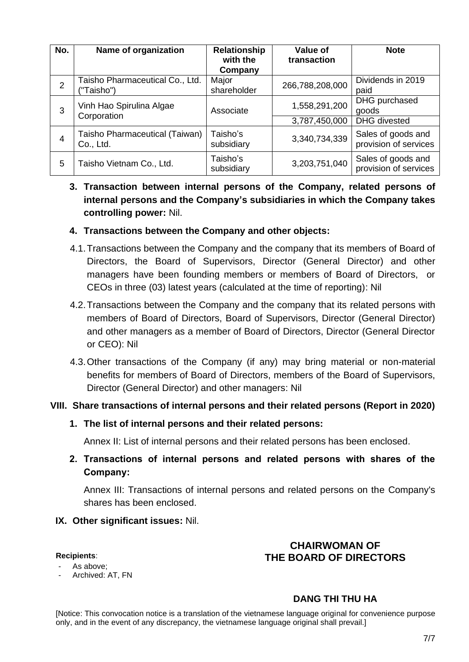| No. | Name of organization                          | <b>Relationship</b><br>with the<br>Company | Value of<br>transaction | <b>Note</b>                                 |
|-----|-----------------------------------------------|--------------------------------------------|-------------------------|---------------------------------------------|
| 2   | Taisho Pharmaceutical Co., Ltd.<br>("Taisho") | Major<br>shareholder                       | 266,788,208,000         | Dividends in 2019<br>paid                   |
| 3   | Vinh Hao Spirulina Algae<br>Corporation       | Associate                                  | 1,558,291,200           | DHG purchased<br>goods                      |
|     |                                               |                                            | 3,787,450,000           | <b>DHG</b> divested                         |
| 4   | Taisho Pharmaceutical (Taiwan)<br>Co., Ltd.   | Taisho's<br>subsidiary                     | 3,340,734,339           | Sales of goods and<br>provision of services |
| 5   | Taisho Vietnam Co., Ltd.                      | Taisho's<br>subsidiary                     | 3,203,751,040           | Sales of goods and<br>provision of services |

# **3. Transaction between internal persons of the Company, related persons of internal persons and the Company's subsidiaries in which the Company takes controlling power:** Nil.

# **4. Transactions between the Company and other objects:**

- 4.1.Transactions between the Company and the company that its members of Board of Directors, the Board of Supervisors, Director (General Director) and other managers have been founding members or members of Board of Directors, or CEOs in three (03) latest years (calculated at the time of reporting): Nil
- 4.2.Transactions between the Company and the company that its related persons with members of Board of Directors, Board of Supervisors, Director (General Director) and other managers as a member of Board of Directors, Director (General Director or CEO): Nil
- 4.3.Other transactions of the Company (if any) may bring material or non-material benefits for members of Board of Directors, members of the Board of Supervisors, Director (General Director) and other managers: Nil

# **VIII. Share transactions of internal persons and their related persons (Report in 2020)**

### **1. The list of internal persons and their related persons:**

Annex II: List of internal persons and their related persons has been enclosed.

**2. Transactions of internal persons and related persons with shares of the Company:**

Annex III: Transactions of internal persons and related persons on the Company's shares has been enclosed.

### **IX. Other significant issues:** Nil.

#### **Recipients**:

#### As above;

Archived: AT, FN

# **CHAIRWOMAN OF THE BOARD OF DIRECTORS**

# **DANG THI THU HA**

[Notice: This convocation notice is a translation of the vietnamese language original for convenience purpose only, and in the event of any discrepancy, the vietnamese language original shall prevail.]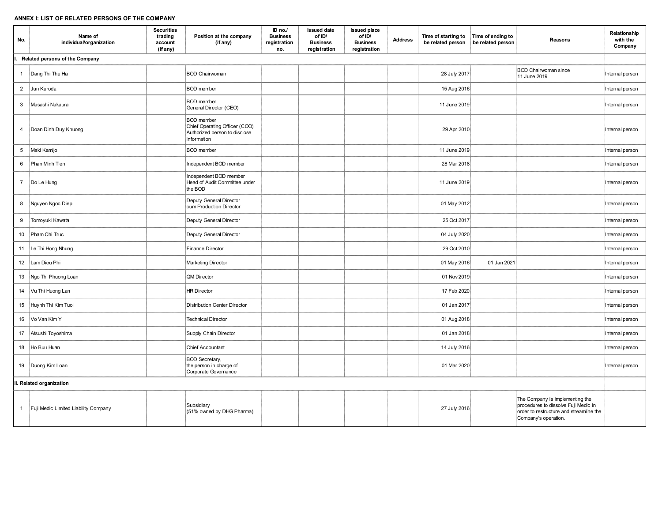#### **ANNEX I: LIST OF RELATED PERSONS OF THE COMPANY**

| No.            | Name of<br>individual/organization   | <b>Securities</b><br>trading<br>account<br>(if any) | Position at the company<br>(if any)                                                                | ID no./<br><b>Business</b><br>registration<br>no. | <b>Issued date</b><br>of ID/<br><b>Business</b><br>registration | <b>Issued place</b><br>of ID/<br><b>Business</b><br>registration | <b>Address</b> | Time of starting to<br>be related person | Time of ending to<br>be related person | Reasons                                                                                                                                    | Relationship<br>with the<br>Company |
|----------------|--------------------------------------|-----------------------------------------------------|----------------------------------------------------------------------------------------------------|---------------------------------------------------|-----------------------------------------------------------------|------------------------------------------------------------------|----------------|------------------------------------------|----------------------------------------|--------------------------------------------------------------------------------------------------------------------------------------------|-------------------------------------|
| l.             | Related persons of the Company       |                                                     |                                                                                                    |                                                   |                                                                 |                                                                  |                |                                          |                                        |                                                                                                                                            |                                     |
|                | 1   Dang Thi Thu Ha                  |                                                     | <b>BOD Chairwoman</b>                                                                              |                                                   |                                                                 |                                                                  |                | 28 July 2017                             |                                        | <b>BOD Chairwoman since</b><br>11 June 2019                                                                                                | Internal person                     |
| $\overline{2}$ | Jun Kuroda                           |                                                     | <b>BOD</b> member                                                                                  |                                                   |                                                                 |                                                                  |                | 15 Aug 2016                              |                                        |                                                                                                                                            | Internal person                     |
| 3              | Masashi Nakaura                      |                                                     | <b>BOD</b> member<br>General Director (CEO)                                                        |                                                   |                                                                 |                                                                  |                | 11 June 2019                             |                                        |                                                                                                                                            | Internal person                     |
| 4              | Doan Dinh Duy Khuong                 |                                                     | <b>BOD</b> member<br>Chief Operating Officer (COO)<br>Authorized person to disclose<br>information |                                                   |                                                                 |                                                                  |                | 29 Apr 2010                              |                                        |                                                                                                                                            | Internal person                     |
| 5 <sup>5</sup> | Maki Kamijo                          |                                                     | <b>BOD</b> member                                                                                  |                                                   |                                                                 |                                                                  |                | 11 June 2019                             |                                        |                                                                                                                                            | Internal person                     |
| 6              | Phan Minh Tien                       |                                                     | Independent BOD member                                                                             |                                                   |                                                                 |                                                                  |                | 28 Mar 2018                              |                                        |                                                                                                                                            | Internal person                     |
| $7^{\circ}$    | Do Le Hung                           |                                                     | Independent BOD member<br>Head of Audit Committee under<br>the BOD                                 |                                                   |                                                                 |                                                                  |                | 11 June 2019                             |                                        |                                                                                                                                            | Internal person                     |
| 8              | Nguyen Ngoc Diep                     |                                                     | Deputy General Director<br>cum Production Director                                                 |                                                   |                                                                 |                                                                  |                | 01 May 2012                              |                                        |                                                                                                                                            | Internal person                     |
| 9              | Tomoyuki Kawata                      |                                                     | Deputy General Director                                                                            |                                                   |                                                                 |                                                                  |                | 25 Oct 2017                              |                                        |                                                                                                                                            | Internal person                     |
| 10             | Pham Chi Truc                        |                                                     | Deputy General Director                                                                            |                                                   |                                                                 |                                                                  |                | 04 July 2020                             |                                        |                                                                                                                                            | Internal person                     |
| 11             | Le Thi Hong Nhung                    |                                                     | <b>Finance Director</b>                                                                            |                                                   |                                                                 |                                                                  |                | 29 Oct 2010                              |                                        |                                                                                                                                            | Internal person                     |
| 12             | Lam Dieu Phi                         |                                                     | <b>Marketing Director</b>                                                                          |                                                   |                                                                 |                                                                  |                | 01 May 2016                              | 01 Jan 2021                            |                                                                                                                                            | Internal person                     |
| 13             | Ngo Thi Phuong Loan                  |                                                     | QM Director                                                                                        |                                                   |                                                                 |                                                                  |                | 01 Nov 2019                              |                                        |                                                                                                                                            | Internal person                     |
| 14             | Vu Thi Huong Lan                     |                                                     | <b>HR Director</b>                                                                                 |                                                   |                                                                 |                                                                  |                | 17 Feb 2020                              |                                        |                                                                                                                                            | Internal person                     |
| 15             | Huynh Thi Kim Tuoi                   |                                                     | <b>Distribution Center Director</b>                                                                |                                                   |                                                                 |                                                                  |                | 01 Jan 2017                              |                                        |                                                                                                                                            | Internal person                     |
| 16             | Vo Van Kim Y                         |                                                     | <b>Technical Director</b>                                                                          |                                                   |                                                                 |                                                                  |                | 01 Aug 2018                              |                                        |                                                                                                                                            | Internal person                     |
| 17             | Atsushi Toyoshima                    |                                                     | Supply Chain Director                                                                              |                                                   |                                                                 |                                                                  |                | 01 Jan 2018                              |                                        |                                                                                                                                            | Internal person                     |
| 18             | Ho Buu Huan                          |                                                     | <b>Chief Accountant</b>                                                                            |                                                   |                                                                 |                                                                  |                | 14 July 2016                             |                                        |                                                                                                                                            | Internal person                     |
|                | 19   Duong Kim Loan                  |                                                     | <b>BOD</b> Secretary,<br>the person in charge of<br>Corporate Governance                           |                                                   |                                                                 |                                                                  |                | 01 Mar 2020                              |                                        |                                                                                                                                            | Internal person                     |
|                | II. Related organization             |                                                     |                                                                                                    |                                                   |                                                                 |                                                                  |                |                                          |                                        |                                                                                                                                            |                                     |
| 1              | Fuji Medic Limited Liability Company |                                                     | Subsidiary<br>(51% owned by DHG Pharma)                                                            |                                                   |                                                                 |                                                                  |                | 27 July 2016                             |                                        | The Company is implementing the<br>procedures to dissolve Fuji Medic in<br>order to restructure and streamline the<br>Company's operation. |                                     |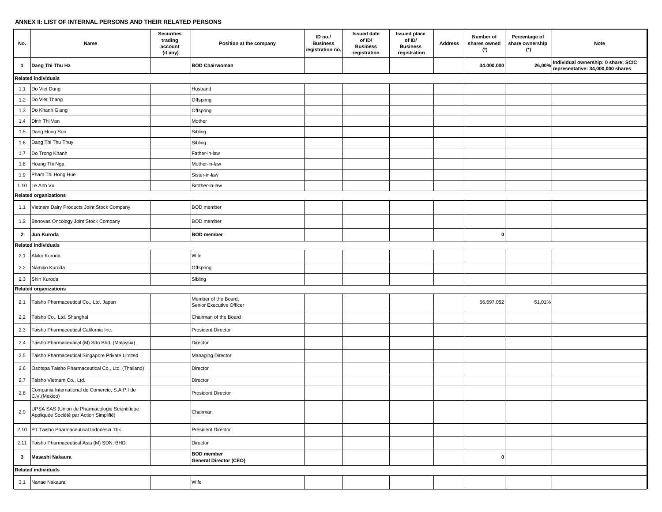#### **ANNEX II: LIST OF INTERNAL PERSONS AND THEIR RELATED PERSONS**

| No.                     | Name                                                                                     | <b>Securities</b><br>trading<br>account<br>(if any) | Position at the company                          | ID no./<br><b>Business</b><br>registration no. | <b>Issued date</b><br>of ID/<br><b>Business</b><br>registration | <b>Issued place</b><br>of ID/<br><b>Business</b><br>registration | <b>Address</b> | Number of<br>shares owned<br>$(*)$ | Percentage of<br>share ownership<br>$(*)$ | Note                                                                     |  |
|-------------------------|------------------------------------------------------------------------------------------|-----------------------------------------------------|--------------------------------------------------|------------------------------------------------|-----------------------------------------------------------------|------------------------------------------------------------------|----------------|------------------------------------|-------------------------------------------|--------------------------------------------------------------------------|--|
| $\mathbf{1}$            | Dang Thi Thu Ha                                                                          |                                                     | <b>BOD Chairwoman</b>                            |                                                |                                                                 |                                                                  |                | 34.000.000                         | 26,00%                                    | Individual ownership: 0 share; SCIC<br>representative: 34,000,000 shares |  |
|                         | Related individuals                                                                      |                                                     |                                                  |                                                |                                                                 |                                                                  |                |                                    |                                           |                                                                          |  |
|                         | 1.1 Do Viet Dung                                                                         |                                                     | Husband                                          |                                                |                                                                 |                                                                  |                |                                    |                                           |                                                                          |  |
| 1.2                     | Do Viet Thang                                                                            |                                                     | Offspring                                        |                                                |                                                                 |                                                                  |                |                                    |                                           |                                                                          |  |
| 1.3                     | Do Khanh Giang                                                                           |                                                     | Offspring                                        |                                                |                                                                 |                                                                  |                |                                    |                                           |                                                                          |  |
| 1.4                     | Dinh Thi Van                                                                             |                                                     | Mother                                           |                                                |                                                                 |                                                                  |                |                                    |                                           |                                                                          |  |
| 1.5                     | Dang Hong Son                                                                            |                                                     | Sibling                                          |                                                |                                                                 |                                                                  |                |                                    |                                           |                                                                          |  |
| 1.6                     | Dang Thi Thu Thuy                                                                        |                                                     | Sibling                                          |                                                |                                                                 |                                                                  |                |                                    |                                           |                                                                          |  |
| 1.7                     | Do Trong Khanh                                                                           |                                                     | Father-in-law                                    |                                                |                                                                 |                                                                  |                |                                    |                                           |                                                                          |  |
| 1.8                     | Hoang Thi Nga                                                                            |                                                     | Mother-in-law                                    |                                                |                                                                 |                                                                  |                |                                    |                                           |                                                                          |  |
| 1.9                     | Pham Thi Hong Hue                                                                        |                                                     | Sister-in-law                                    |                                                |                                                                 |                                                                  |                |                                    |                                           |                                                                          |  |
|                         | 1.10 Le Anh Vu                                                                           |                                                     | Brother-in-law                                   |                                                |                                                                 |                                                                  |                |                                    |                                           |                                                                          |  |
|                         | <b>Related organizations</b>                                                             |                                                     |                                                  |                                                |                                                                 |                                                                  |                |                                    |                                           |                                                                          |  |
| 1.1                     | Vietnam Dairy Products Joint Stock Company                                               |                                                     | <b>BOD</b> member                                |                                                |                                                                 |                                                                  |                |                                    |                                           |                                                                          |  |
| 1.2                     | Benovas Oncology Joint Stock Company                                                     |                                                     | <b>BOD</b> member                                |                                                |                                                                 |                                                                  |                |                                    |                                           |                                                                          |  |
| $\overline{2}$          | Jun Kuroda                                                                               |                                                     | <b>BOD</b> member                                |                                                |                                                                 |                                                                  |                | 0                                  |                                           |                                                                          |  |
|                         | <b>Related individuals</b>                                                               |                                                     |                                                  |                                                |                                                                 |                                                                  |                |                                    |                                           |                                                                          |  |
| 2.1                     | Akiko Kuroda                                                                             |                                                     | Wife                                             |                                                |                                                                 |                                                                  |                |                                    |                                           |                                                                          |  |
| 2.2                     | Namiko Kuroda                                                                            |                                                     | Offspring                                        |                                                |                                                                 |                                                                  |                |                                    |                                           |                                                                          |  |
| 2.3                     | Shin Kuroda                                                                              |                                                     | Sibling                                          |                                                |                                                                 |                                                                  |                |                                    |                                           |                                                                          |  |
|                         | <b>Related organizations</b>                                                             |                                                     |                                                  |                                                |                                                                 |                                                                  |                |                                    |                                           |                                                                          |  |
|                         | 2.1   Taisho Pharmaceutical Co., Ltd. Japan                                              |                                                     | Member of the Board,<br>Senior Executive Officer |                                                |                                                                 |                                                                  |                | 66.697.052                         | 51,01%                                    |                                                                          |  |
| 2.2                     | Taisho Co., Ltd. Shanghai                                                                |                                                     | Chairman of the Board                            |                                                |                                                                 |                                                                  |                |                                    |                                           |                                                                          |  |
| 2.3                     | Taisho Pharmaceutical California Inc.                                                    |                                                     | <b>President Director</b>                        |                                                |                                                                 |                                                                  |                |                                    |                                           |                                                                          |  |
| 2.4                     | Taisho Pharmaceutical (M) Sdn Bhd. (Malaysia)                                            |                                                     | Director                                         |                                                |                                                                 |                                                                  |                |                                    |                                           |                                                                          |  |
| 2.5                     | Taisho Pharmaceutical Singapore Private Limited                                          |                                                     | <b>Managing Director</b>                         |                                                |                                                                 |                                                                  |                |                                    |                                           |                                                                          |  |
| 2.6                     | Osotspa Taisho Pharmaceutical Co., Ltd. (Thailand)                                       |                                                     | Director                                         |                                                |                                                                 |                                                                  |                |                                    |                                           |                                                                          |  |
| 2.7                     | Taisho Vietnam Co., Ltd.                                                                 |                                                     | Director                                         |                                                |                                                                 |                                                                  |                |                                    |                                           |                                                                          |  |
| $2.8\,$                 | Compania International de Comercio, S.A.P,I de<br>C.V.(Mexico)                           |                                                     | <b>President Director</b>                        |                                                |                                                                 |                                                                  |                |                                    |                                           |                                                                          |  |
| 2.9                     | UPSA SAS (Union de Pharmacologie Scientifique<br>Appliquée Société par Action Simplifié) |                                                     | Chairman                                         |                                                |                                                                 |                                                                  |                |                                    |                                           |                                                                          |  |
|                         | 2.10 PT Taisho Pharmaceutical Indonesia Tbk                                              |                                                     | <b>President Director</b>                        |                                                |                                                                 |                                                                  |                |                                    |                                           |                                                                          |  |
|                         | 2.11 Taisho Pharmaceutical Asia (M) SDN. BHD.                                            |                                                     | Director                                         |                                                |                                                                 |                                                                  |                |                                    |                                           |                                                                          |  |
| $\overline{\mathbf{3}}$ | Masashi Nakaura                                                                          |                                                     | <b>BOD</b> member<br>General Director (CEO)      |                                                |                                                                 |                                                                  |                | 0                                  |                                           |                                                                          |  |
|                         | <b>Related individuals</b>                                                               |                                                     |                                                  |                                                |                                                                 |                                                                  |                |                                    |                                           |                                                                          |  |
| 3.1                     | Nanae Nakaura                                                                            |                                                     | Wife                                             |                                                |                                                                 |                                                                  |                |                                    |                                           |                                                                          |  |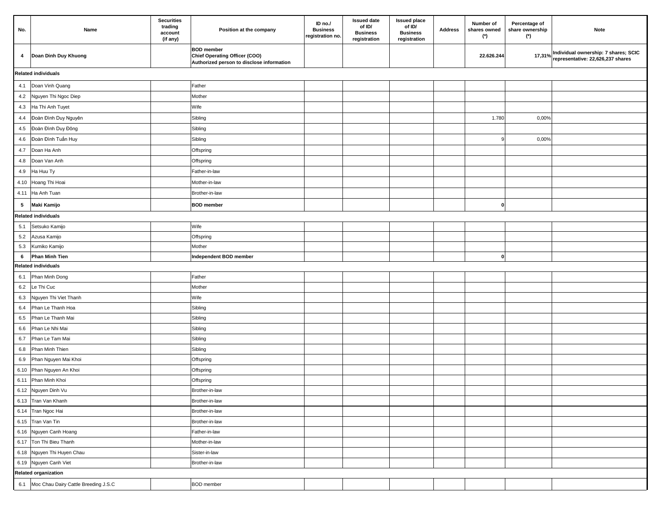| No.     | Name                                     | <b>Securities</b><br>trading<br>account<br>(if any) | Position at the company                                                                         | ID no./<br><b>Business</b><br>registration no | <b>Issued date</b><br>of ID/<br><b>Business</b><br>registration | <b>Issued place</b><br>of ID/<br><b>Business</b><br>registration | Address | Number of<br>shares owned<br>(*) | Percentage of<br>share ownership<br>$(*)$ | Note                                                                             |  |  |
|---------|------------------------------------------|-----------------------------------------------------|-------------------------------------------------------------------------------------------------|-----------------------------------------------|-----------------------------------------------------------------|------------------------------------------------------------------|---------|----------------------------------|-------------------------------------------|----------------------------------------------------------------------------------|--|--|
| 4       | Doan Dinh Duy Khuong                     |                                                     | <b>BOD</b> member<br>Chief Operating Officer (COO)<br>Authorized person to disclose information |                                               |                                                                 |                                                                  |         | 22.626.244                       |                                           | 17,31% Individual ownership: 7 shares; SCIC<br>representative: 22,626,237 shares |  |  |
|         | <b>Related individuals</b>               |                                                     |                                                                                                 |                                               |                                                                 |                                                                  |         |                                  |                                           |                                                                                  |  |  |
| 4.1     | Doan Vinh Quang                          |                                                     | Father                                                                                          |                                               |                                                                 |                                                                  |         |                                  |                                           |                                                                                  |  |  |
| 4.2     | Nguyen Thi Ngoc Diep                     |                                                     | Mother                                                                                          |                                               |                                                                 |                                                                  |         |                                  |                                           |                                                                                  |  |  |
| 4.3     | Ha Thi Anh Tuyet                         |                                                     | Wife                                                                                            |                                               |                                                                 |                                                                  |         |                                  |                                           |                                                                                  |  |  |
| 4.4     | Đoàn Đình Duy Nguyên                     |                                                     | Sibling                                                                                         |                                               |                                                                 |                                                                  |         | 1.780                            | 0,00%                                     |                                                                                  |  |  |
| 4.5     | Đoàn Đình Duy Đông                       |                                                     | Sibling                                                                                         |                                               |                                                                 |                                                                  |         |                                  |                                           |                                                                                  |  |  |
| 4.6     | Đoàn Đình Tuấn Huy                       |                                                     | Sibling                                                                                         |                                               |                                                                 |                                                                  |         | 9                                | 0,00%                                     |                                                                                  |  |  |
| 4.7     | Doan Ha Anh                              |                                                     | Offspring                                                                                       |                                               |                                                                 |                                                                  |         |                                  |                                           |                                                                                  |  |  |
| 4.8     | Doan Van Anh                             |                                                     | Offspring                                                                                       |                                               |                                                                 |                                                                  |         |                                  |                                           |                                                                                  |  |  |
| 4.9     | Ha Huu Ty                                |                                                     | Father-in-law                                                                                   |                                               |                                                                 |                                                                  |         |                                  |                                           |                                                                                  |  |  |
|         | 4.10 Hoang Thi Hoai                      |                                                     | Mother-in-law                                                                                   |                                               |                                                                 |                                                                  |         |                                  |                                           |                                                                                  |  |  |
| 4.11    | Ha Anh Tuan                              |                                                     | Brother-in-law                                                                                  |                                               |                                                                 |                                                                  |         |                                  |                                           |                                                                                  |  |  |
| 5       | Maki Kamijo                              |                                                     | <b>BOD</b> member                                                                               |                                               |                                                                 |                                                                  |         | $\mathbf{0}$                     |                                           |                                                                                  |  |  |
|         | <b>Related individuals</b>               |                                                     |                                                                                                 |                                               |                                                                 |                                                                  |         |                                  |                                           |                                                                                  |  |  |
| 5.1     | Setsuko Kamijo                           |                                                     | Wife                                                                                            |                                               |                                                                 |                                                                  |         |                                  |                                           |                                                                                  |  |  |
| 5.2     | Azusa Kamijo                             |                                                     | Offspring                                                                                       |                                               |                                                                 |                                                                  |         |                                  |                                           |                                                                                  |  |  |
| 5.3     | Kumiko Kamijo                            |                                                     | Mother                                                                                          |                                               |                                                                 |                                                                  |         |                                  |                                           |                                                                                  |  |  |
| 6       | Phan Minh Tien                           |                                                     | Independent BOD member                                                                          |                                               |                                                                 |                                                                  |         | 0                                |                                           |                                                                                  |  |  |
|         | <b>Related individuals</b>               |                                                     |                                                                                                 |                                               |                                                                 |                                                                  |         |                                  |                                           |                                                                                  |  |  |
| 6.1     | Phan Minh Dong                           |                                                     | Father                                                                                          |                                               |                                                                 |                                                                  |         |                                  |                                           |                                                                                  |  |  |
| 6.2     | Le Thi Cuc                               |                                                     | Mother                                                                                          |                                               |                                                                 |                                                                  |         |                                  |                                           |                                                                                  |  |  |
| 6.3     | Nguyen Thi Viet Thanh                    |                                                     | Wife                                                                                            |                                               |                                                                 |                                                                  |         |                                  |                                           |                                                                                  |  |  |
| 6.4     | Phan Le Thanh Hoa                        |                                                     | Sibling                                                                                         |                                               |                                                                 |                                                                  |         |                                  |                                           |                                                                                  |  |  |
| 6.5     | Phan Le Thanh Mai                        |                                                     | Sibling                                                                                         |                                               |                                                                 |                                                                  |         |                                  |                                           |                                                                                  |  |  |
| 6.6     | Phan Le Nhi Mai                          |                                                     | Sibling                                                                                         |                                               |                                                                 |                                                                  |         |                                  |                                           |                                                                                  |  |  |
| $6.7\,$ | Phan Le Tam Mai                          |                                                     | Sibling                                                                                         |                                               |                                                                 |                                                                  |         |                                  |                                           |                                                                                  |  |  |
| $6.8\,$ | Phan Minh Thien                          |                                                     | Sibling                                                                                         |                                               |                                                                 |                                                                  |         |                                  |                                           |                                                                                  |  |  |
| 6.9     | Phan Nguyen Mai Khoi                     |                                                     | Offspring                                                                                       |                                               |                                                                 |                                                                  |         |                                  |                                           |                                                                                  |  |  |
|         | 6.10 Phan Nguyen An Khoi                 |                                                     | Offspring                                                                                       |                                               |                                                                 |                                                                  |         |                                  |                                           |                                                                                  |  |  |
|         | 6.11 Phan Minh Khoi                      |                                                     | Offspring                                                                                       |                                               |                                                                 |                                                                  |         |                                  |                                           |                                                                                  |  |  |
|         | 6.12 Nguyen Dinh Vu                      |                                                     | Brother-in-law                                                                                  |                                               |                                                                 |                                                                  |         |                                  |                                           |                                                                                  |  |  |
|         | 6.13 Tran Van Khanh                      |                                                     | Brother-in-law                                                                                  |                                               |                                                                 |                                                                  |         |                                  |                                           |                                                                                  |  |  |
|         | 6.14 Tran Ngoc Hai                       |                                                     | Brother-in-law                                                                                  |                                               |                                                                 |                                                                  |         |                                  |                                           |                                                                                  |  |  |
|         | 6.15 Tran Van Tin                        |                                                     | Brother-in-law                                                                                  |                                               |                                                                 |                                                                  |         |                                  |                                           |                                                                                  |  |  |
|         | 6.16 Nguyen Canh Hoang                   |                                                     | Father-in-law                                                                                   |                                               |                                                                 |                                                                  |         |                                  |                                           |                                                                                  |  |  |
|         | 6.17 Ton Thi Bieu Thanh                  |                                                     | Mother-in-law                                                                                   |                                               |                                                                 |                                                                  |         |                                  |                                           |                                                                                  |  |  |
|         | 6.18 Nguyen Thi Huyen Chau               |                                                     | Sister-in-law                                                                                   |                                               |                                                                 |                                                                  |         |                                  |                                           |                                                                                  |  |  |
|         | 6.19 Nguyen Canh Viet                    |                                                     | Brother-in-law                                                                                  |                                               |                                                                 |                                                                  |         |                                  |                                           |                                                                                  |  |  |
|         | <b>Related organization</b>              |                                                     |                                                                                                 |                                               |                                                                 |                                                                  |         |                                  |                                           |                                                                                  |  |  |
|         | 6.1 Moc Chau Dairy Cattle Breeding J.S.C |                                                     | <b>BOD</b> member                                                                               |                                               |                                                                 |                                                                  |         |                                  |                                           |                                                                                  |  |  |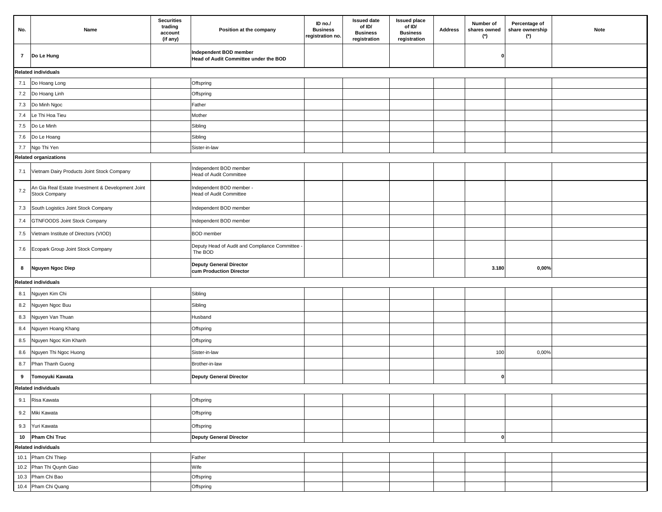| No.          | Name                                                                      | <b>Securities</b><br>trading<br>account<br>(if any) | Position at the company                                         | ID no./<br><b>Business</b><br>registration no. | <b>Issued date</b><br>of ID/<br><b>Business</b><br>registration | <b>Issued place</b><br>of ID/<br><b>Business</b><br>registration | <b>Address</b> | Number of<br>shares owned<br>(*) | Percentage of<br>share ownership<br>(*) | Note |  |  |
|--------------|---------------------------------------------------------------------------|-----------------------------------------------------|-----------------------------------------------------------------|------------------------------------------------|-----------------------------------------------------------------|------------------------------------------------------------------|----------------|----------------------------------|-----------------------------------------|------|--|--|
| $\mathbf{7}$ | Do Le Hung                                                                |                                                     | Independent BOD member<br>Head of Audit Committee under the BOD |                                                |                                                                 |                                                                  |                | O                                |                                         |      |  |  |
|              | <b>Related individuals</b>                                                |                                                     |                                                                 |                                                |                                                                 |                                                                  |                |                                  |                                         |      |  |  |
| 7.1          | Do Hoang Long                                                             |                                                     | Offspring                                                       |                                                |                                                                 |                                                                  |                |                                  |                                         |      |  |  |
|              | 7.2 Do Hoang Linh                                                         |                                                     | Offspring                                                       |                                                |                                                                 |                                                                  |                |                                  |                                         |      |  |  |
| 7.3          | Do Minh Ngoc                                                              |                                                     | Father                                                          |                                                |                                                                 |                                                                  |                |                                  |                                         |      |  |  |
| 7.4          | Le Thi Hoa Tieu                                                           |                                                     | Mother                                                          |                                                |                                                                 |                                                                  |                |                                  |                                         |      |  |  |
| 7.5          | Do Le Minh                                                                |                                                     | Sibling                                                         |                                                |                                                                 |                                                                  |                |                                  |                                         |      |  |  |
| 7.6          | Do Le Hoang                                                               |                                                     | Sibling                                                         |                                                |                                                                 |                                                                  |                |                                  |                                         |      |  |  |
|              | 7.7 Ngo Thi Yen                                                           |                                                     | Sister-in-law                                                   |                                                |                                                                 |                                                                  |                |                                  |                                         |      |  |  |
|              | <b>Related organizations</b>                                              |                                                     |                                                                 |                                                |                                                                 |                                                                  |                |                                  |                                         |      |  |  |
| 7.1          | Vietnam Dairy Products Joint Stock Company                                |                                                     | Independent BOD member<br>Head of Audit Committee               |                                                |                                                                 |                                                                  |                |                                  |                                         |      |  |  |
| 7.2          | An Gia Real Estate Investment & Development Joint<br><b>Stock Company</b> |                                                     | Independent BOD member -<br>Head of Audit Committee             |                                                |                                                                 |                                                                  |                |                                  |                                         |      |  |  |
| 7.3          | South Logistics Joint Stock Company                                       |                                                     | Independent BOD member                                          |                                                |                                                                 |                                                                  |                |                                  |                                         |      |  |  |
| 7.4          | <b>GTNFOODS Joint Stock Company</b>                                       |                                                     | Independent BOD member                                          |                                                |                                                                 |                                                                  |                |                                  |                                         |      |  |  |
| 7.5          | Vietnam Institute of Directors (VIOD)                                     |                                                     | <b>BOD</b> member                                               |                                                |                                                                 |                                                                  |                |                                  |                                         |      |  |  |
|              | 7.6 Ecopark Group Joint Stock Company                                     |                                                     | Deputy Head of Audit and Compliance Committee<br>The BOD        |                                                |                                                                 |                                                                  |                |                                  |                                         |      |  |  |
| 8            | Nguyen Ngoc Diep                                                          |                                                     | Deputy General Director<br>cum Production Director              |                                                |                                                                 |                                                                  |                | 3.180                            | $0,00\%$                                |      |  |  |
|              | <b>Related individuals</b>                                                |                                                     |                                                                 |                                                |                                                                 |                                                                  |                |                                  |                                         |      |  |  |
| 8.1          | Nguyen Kim Chi                                                            |                                                     | Sibling                                                         |                                                |                                                                 |                                                                  |                |                                  |                                         |      |  |  |
| 8.2          | Nguyen Ngoc Buu                                                           |                                                     | Sibling                                                         |                                                |                                                                 |                                                                  |                |                                  |                                         |      |  |  |
| 8.3          | Nguyen Van Thuan                                                          |                                                     | Husband                                                         |                                                |                                                                 |                                                                  |                |                                  |                                         |      |  |  |
| 8.4          | Nguyen Hoang Khang                                                        |                                                     | Offspring                                                       |                                                |                                                                 |                                                                  |                |                                  |                                         |      |  |  |
| 8.5          | Nguyen Ngoc Kim Khanh                                                     |                                                     | Offspring                                                       |                                                |                                                                 |                                                                  |                |                                  |                                         |      |  |  |
| 8.6          | Nguyen Thi Ngoc Huong                                                     |                                                     | Sister-in-law                                                   |                                                |                                                                 |                                                                  |                | 100                              | 0,00%                                   |      |  |  |
| 8.7          | Phan Thanh Guong                                                          |                                                     | Brother-in-law                                                  |                                                |                                                                 |                                                                  |                |                                  |                                         |      |  |  |
| 9            | Tomoyuki Kawata                                                           |                                                     | Deputy General Director                                         |                                                |                                                                 |                                                                  |                | 0                                |                                         |      |  |  |
|              | <b>Related individuals</b>                                                |                                                     |                                                                 |                                                |                                                                 |                                                                  |                |                                  |                                         |      |  |  |
| 9.1          | Risa Kawata                                                               |                                                     | Offspring                                                       |                                                |                                                                 |                                                                  |                |                                  |                                         |      |  |  |
| 9.2          | Miki Kawata                                                               |                                                     | Offspring                                                       |                                                |                                                                 |                                                                  |                |                                  |                                         |      |  |  |
|              | 9.3 Yuri Kawata                                                           |                                                     | Offspring                                                       |                                                |                                                                 |                                                                  |                |                                  |                                         |      |  |  |
|              | 10 Pham Chi Truc                                                          |                                                     | Deputy General Director                                         |                                                |                                                                 |                                                                  |                | 0                                |                                         |      |  |  |
|              | <b>Related individuals</b>                                                |                                                     |                                                                 |                                                |                                                                 |                                                                  |                |                                  |                                         |      |  |  |
|              | 10.1 Pham Chi Thiep                                                       |                                                     | Father                                                          |                                                |                                                                 |                                                                  |                |                                  |                                         |      |  |  |
|              | 10.2 Phan Thi Quynh Giao                                                  |                                                     | Wife                                                            |                                                |                                                                 |                                                                  |                |                                  |                                         |      |  |  |
|              | 10.3 Pham Chi Bao                                                         |                                                     | Offspring                                                       |                                                |                                                                 |                                                                  |                |                                  |                                         |      |  |  |
|              | 10.4 Pham Chi Quang                                                       |                                                     | Offspring                                                       |                                                |                                                                 |                                                                  |                |                                  |                                         |      |  |  |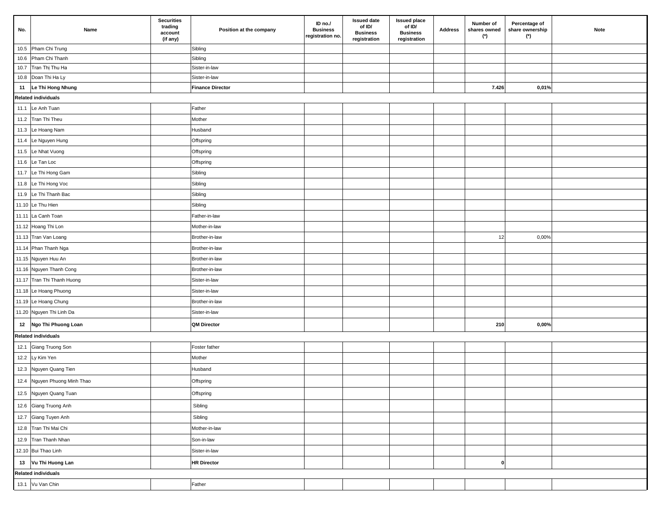| No. | Name                         | <b>Securities</b><br>trading<br>account<br>(if any) | Position at the company | ID no./<br><b>Business</b><br>registration no. | <b>Issued date</b><br>of ID/<br><b>Business</b><br>registration | <b>Issued place</b><br>of ID/<br><b>Business</b><br>registration | Address | Number of<br>shares owned<br>(*) | Percentage of<br>share ownership<br>(*) | Note |
|-----|------------------------------|-----------------------------------------------------|-------------------------|------------------------------------------------|-----------------------------------------------------------------|------------------------------------------------------------------|---------|----------------------------------|-----------------------------------------|------|
|     | 10.5 Pham Chi Trung          |                                                     | Sibling                 |                                                |                                                                 |                                                                  |         |                                  |                                         |      |
|     | 10.6 Pham Chi Thanh          |                                                     | Sibling                 |                                                |                                                                 |                                                                  |         |                                  |                                         |      |
|     | 10.7 Tran Thị Thu Ha         |                                                     | Sister-in-law           |                                                |                                                                 |                                                                  |         |                                  |                                         |      |
|     | 10.8 Doan Thi Ha Ly          |                                                     | Sister-in-law           |                                                |                                                                 |                                                                  |         |                                  |                                         |      |
|     | 11   Le Thi Hong Nhung       |                                                     | <b>Finance Director</b> |                                                |                                                                 |                                                                  |         | 7.426                            | 0,01%                                   |      |
|     | <b>Related individuals</b>   |                                                     |                         |                                                |                                                                 |                                                                  |         |                                  |                                         |      |
|     | 11.1 Le Anh Tuan             |                                                     | Father                  |                                                |                                                                 |                                                                  |         |                                  |                                         |      |
|     | 11.2 Tran Thi Theu           |                                                     | Mother                  |                                                |                                                                 |                                                                  |         |                                  |                                         |      |
|     | 11.3 Le Hoang Nam            |                                                     | Husband                 |                                                |                                                                 |                                                                  |         |                                  |                                         |      |
|     | 11.4 Le Nguyen Hung          |                                                     | Offspring               |                                                |                                                                 |                                                                  |         |                                  |                                         |      |
|     | 11.5 Le Nhat Vuong           |                                                     | Offspring               |                                                |                                                                 |                                                                  |         |                                  |                                         |      |
|     | 11.6 Le Tan Loc              |                                                     | Offspring               |                                                |                                                                 |                                                                  |         |                                  |                                         |      |
|     | 11.7 Le Thi Hong Gam         |                                                     | Sibling                 |                                                |                                                                 |                                                                  |         |                                  |                                         |      |
|     | 11.8 Le Thi Hong Voc         |                                                     | Sibling                 |                                                |                                                                 |                                                                  |         |                                  |                                         |      |
|     | 11.9 Le Thi Thanh Bac        |                                                     | Sibling                 |                                                |                                                                 |                                                                  |         |                                  |                                         |      |
|     | 11.10 Le Thu Hien            |                                                     | Sibling                 |                                                |                                                                 |                                                                  |         |                                  |                                         |      |
|     | 11.11 La Canh Toan           |                                                     | Father-in-law           |                                                |                                                                 |                                                                  |         |                                  |                                         |      |
|     | 11.12 Hoang Thi Lon          |                                                     | Mother-in-law           |                                                |                                                                 |                                                                  |         |                                  |                                         |      |
|     | 11.13 Tran Van Loang         |                                                     | Brother-in-law          |                                                |                                                                 |                                                                  |         | 12                               | 0,00%                                   |      |
|     | 11.14 Phan Thanh Nga         |                                                     | Brother-in-law          |                                                |                                                                 |                                                                  |         |                                  |                                         |      |
|     | 11.15 Nguyen Huu An          |                                                     | Brother-in-law          |                                                |                                                                 |                                                                  |         |                                  |                                         |      |
|     | 11.16 Nguyen Thanh Cong      |                                                     | Brother-in-law          |                                                |                                                                 |                                                                  |         |                                  |                                         |      |
|     | 11.17 Tran Thi Thanh Huong   |                                                     | Sister-in-law           |                                                |                                                                 |                                                                  |         |                                  |                                         |      |
|     | 11.18 Le Hoang Phuong        |                                                     | Sister-in-law           |                                                |                                                                 |                                                                  |         |                                  |                                         |      |
|     | 11.19 Le Hoang Chung         |                                                     | Brother-in-law          |                                                |                                                                 |                                                                  |         |                                  |                                         |      |
|     | 11.20 Nguyen Thi Linh Da     |                                                     | Sister-in-law           |                                                |                                                                 |                                                                  |         |                                  |                                         |      |
|     | 12 Ngo Thi Phuong Loan       |                                                     | <b>QM Director</b>      |                                                |                                                                 |                                                                  |         | 210                              | 0,00%                                   |      |
|     | <b>Related individuals</b>   |                                                     |                         |                                                |                                                                 |                                                                  |         |                                  |                                         |      |
|     | 12.1 Giang Truong Son        |                                                     | Foster father           |                                                |                                                                 |                                                                  |         |                                  |                                         |      |
|     | 12.2 Ly Kim Yen              |                                                     | Mother                  |                                                |                                                                 |                                                                  |         |                                  |                                         |      |
|     | 12.3 Nguyen Quang Tien       |                                                     | Husband                 |                                                |                                                                 |                                                                  |         |                                  |                                         |      |
|     | 12.4 Nguyen Phuong Minh Thao |                                                     | Offspring               |                                                |                                                                 |                                                                  |         |                                  |                                         |      |
|     | 12.5 Nguyen Quang Tuan       |                                                     | Offspring               |                                                |                                                                 |                                                                  |         |                                  |                                         |      |
|     | 12.6 Giang Truong Anh        |                                                     | Sibling                 |                                                |                                                                 |                                                                  |         |                                  |                                         |      |
|     | 12.7 Giang Tuyen Anh         |                                                     | Sibling                 |                                                |                                                                 |                                                                  |         |                                  |                                         |      |
|     | 12.8 Tran Thi Mai Chi        |                                                     | Mother-in-law           |                                                |                                                                 |                                                                  |         |                                  |                                         |      |
|     | 12.9 Tran Thanh Nhan         |                                                     | Son-in-law              |                                                |                                                                 |                                                                  |         |                                  |                                         |      |
|     | 12.10 Bui Thao Linh          |                                                     | Sister-in-law           |                                                |                                                                 |                                                                  |         |                                  |                                         |      |
|     | 13 Vu Thi Huong Lan          |                                                     | <b>HR Director</b>      |                                                |                                                                 |                                                                  |         | $\mathbf{0}$                     |                                         |      |
|     | <b>Related individuals</b>   |                                                     |                         |                                                |                                                                 |                                                                  |         |                                  |                                         |      |
|     | 13.1 Vu Van Chin             |                                                     | Father                  |                                                |                                                                 |                                                                  |         |                                  |                                         |      |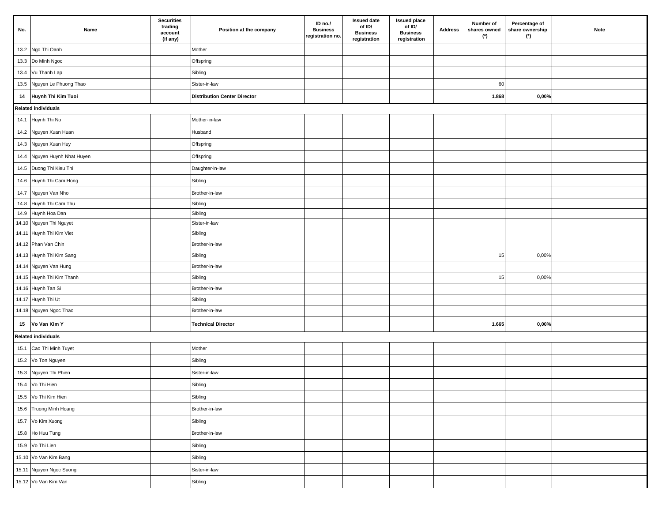| No. | Name                         | <b>Securities</b><br>trading<br>account<br>(if any) | Position at the company             | ID no./<br><b>Business</b><br>registration no. | <b>Issued date</b><br>of ID/<br><b>Business</b><br>registration | <b>Issued place</b><br>of ID/<br><b>Business</b><br>registration | Address | Number of<br>shares owned<br>(*) | Percentage of<br>share ownership<br>$(*)$ | Note |
|-----|------------------------------|-----------------------------------------------------|-------------------------------------|------------------------------------------------|-----------------------------------------------------------------|------------------------------------------------------------------|---------|----------------------------------|-------------------------------------------|------|
|     | 13.2 Ngo Thi Oanh            |                                                     | Mother                              |                                                |                                                                 |                                                                  |         |                                  |                                           |      |
|     | 13.3 Do Minh Ngoc            |                                                     | Offspring                           |                                                |                                                                 |                                                                  |         |                                  |                                           |      |
|     | 13.4 Vu Thanh Lap            |                                                     | Sibling                             |                                                |                                                                 |                                                                  |         |                                  |                                           |      |
|     | 13.5 Nguyen Le Phuong Thao   |                                                     | Sister-in-law                       |                                                |                                                                 |                                                                  |         | 60                               |                                           |      |
|     | 14 Huynh Thi Kim Tuoi        |                                                     | <b>Distribution Center Director</b> |                                                |                                                                 |                                                                  |         | 1.868                            | $0,00\%$                                  |      |
|     | Related individuals          |                                                     |                                     |                                                |                                                                 |                                                                  |         |                                  |                                           |      |
|     | 14.1 Huynh Thi No            |                                                     | Mother-in-law                       |                                                |                                                                 |                                                                  |         |                                  |                                           |      |
|     | 14.2 Nguyen Xuan Huan        |                                                     | Husband                             |                                                |                                                                 |                                                                  |         |                                  |                                           |      |
|     | 14.3 Nguyen Xuan Huy         |                                                     | Offspring                           |                                                |                                                                 |                                                                  |         |                                  |                                           |      |
|     | 14.4 Nguyen Huynh Nhat Huyen |                                                     | Offspring                           |                                                |                                                                 |                                                                  |         |                                  |                                           |      |
|     | 14.5 Duong Thi Kieu Thi      |                                                     | Daughter-in-law                     |                                                |                                                                 |                                                                  |         |                                  |                                           |      |
|     | 14.6 Huynh Thi Cam Hong      |                                                     | Sibling                             |                                                |                                                                 |                                                                  |         |                                  |                                           |      |
|     | 14.7 Nguyen Van Nho          |                                                     | Brother-in-law                      |                                                |                                                                 |                                                                  |         |                                  |                                           |      |
|     | 14.8 Huynh Thi Cam Thu       |                                                     | Sibling                             |                                                |                                                                 |                                                                  |         |                                  |                                           |      |
|     | 14.9 Huynh Hoa Dan           |                                                     | Sibling                             |                                                |                                                                 |                                                                  |         |                                  |                                           |      |
|     | 14.10 Nguyen Thi Nguyet      |                                                     | Sister-in-law                       |                                                |                                                                 |                                                                  |         |                                  |                                           |      |
|     | 14.11 Huynh Thi Kim Viet     |                                                     | Sibling                             |                                                |                                                                 |                                                                  |         |                                  |                                           |      |
|     | 14.12 Phan Van Chin          |                                                     | Brother-in-law                      |                                                |                                                                 |                                                                  |         |                                  |                                           |      |
|     | 14.13 Huynh Thi Kim Sang     |                                                     | Sibling                             |                                                |                                                                 |                                                                  |         | 15                               | 0,00%                                     |      |
|     | 14.14 Nguyen Van Hung        |                                                     | Brother-in-law                      |                                                |                                                                 |                                                                  |         |                                  |                                           |      |
|     | 14.15 Huynh Thi Kim Thanh    |                                                     | Sibling                             |                                                |                                                                 |                                                                  |         | 15                               | 0,00%                                     |      |
|     | 14.16 Huynh Tan Si           |                                                     | Brother-in-law                      |                                                |                                                                 |                                                                  |         |                                  |                                           |      |
|     | 14.17 Huynh Thi Ut           |                                                     | Sibling                             |                                                |                                                                 |                                                                  |         |                                  |                                           |      |
|     | 14.18 Nguyen Ngoc Thao       |                                                     | Brother-in-law                      |                                                |                                                                 |                                                                  |         |                                  |                                           |      |
|     | 15 Vo Van Kim Y              |                                                     | <b>Technical Director</b>           |                                                |                                                                 |                                                                  |         | 1.665                            | $0,00\%$                                  |      |
|     | <b>Related individuals</b>   |                                                     |                                     |                                                |                                                                 |                                                                  |         |                                  |                                           |      |
|     | 15.1 Cao Thi Minh Tuyet      |                                                     | Mother                              |                                                |                                                                 |                                                                  |         |                                  |                                           |      |
|     | 15.2 Vo Ton Nguyen           |                                                     | Sibling                             |                                                |                                                                 |                                                                  |         |                                  |                                           |      |
|     | 15.3 Nguyen Thi Phien        |                                                     | Sister-in-law                       |                                                |                                                                 |                                                                  |         |                                  |                                           |      |
|     | 15.4 Vo Thi Hien             |                                                     | Sibling                             |                                                |                                                                 |                                                                  |         |                                  |                                           |      |
|     | 15.5 Vo Thi Kim Hien         |                                                     | Sibling                             |                                                |                                                                 |                                                                  |         |                                  |                                           |      |
|     | 15.6 Truong Minh Hoang       |                                                     | Brother-in-law                      |                                                |                                                                 |                                                                  |         |                                  |                                           |      |
|     | 15.7 Vo Kim Xuong            |                                                     | Sibling                             |                                                |                                                                 |                                                                  |         |                                  |                                           |      |
|     | 15.8 Ho Huu Tung             |                                                     | Brother-in-law                      |                                                |                                                                 |                                                                  |         |                                  |                                           |      |
|     | 15.9 Vo Thi Lien             |                                                     | Sibling                             |                                                |                                                                 |                                                                  |         |                                  |                                           |      |
|     | 15.10 Vo Van Kim Bang        |                                                     | Sibling                             |                                                |                                                                 |                                                                  |         |                                  |                                           |      |
|     | 15.11 Nguyen Ngoc Suong      |                                                     | Sister-in-law                       |                                                |                                                                 |                                                                  |         |                                  |                                           |      |
|     | 15.12 Vo Van Kim Van         |                                                     | Sibling                             |                                                |                                                                 |                                                                  |         |                                  |                                           |      |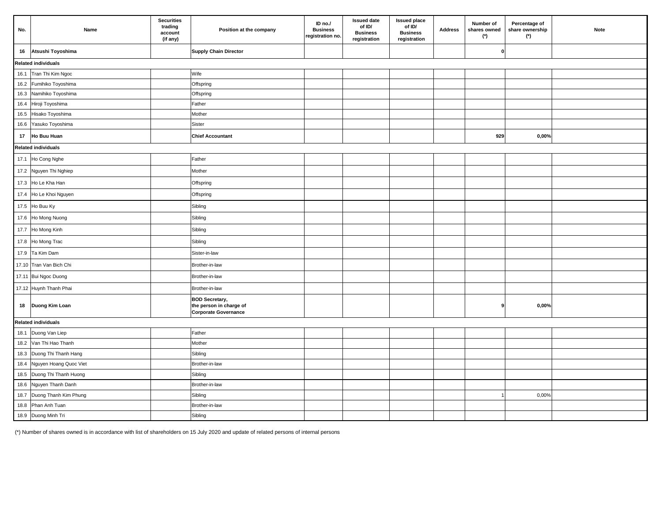| No.             | Name                       | <b>Securities</b><br>trading<br>account<br>(if any) | Position at the company                                                  | ID no./<br><b>Business</b><br>registration no. | <b>Issued date</b><br>of ID/<br><b>Business</b><br>registration | <b>Issued place</b><br>of ID/<br><b>Business</b><br>registration | <b>Address</b> | Number of<br>shares owned<br>$(*)$ | Percentage of<br>share ownership<br>(*) | Note |  |  |
|-----------------|----------------------------|-----------------------------------------------------|--------------------------------------------------------------------------|------------------------------------------------|-----------------------------------------------------------------|------------------------------------------------------------------|----------------|------------------------------------|-----------------------------------------|------|--|--|
|                 | 16 Atsushi Toyoshima       |                                                     | <b>Supply Chain Director</b>                                             |                                                |                                                                 |                                                                  |                | 0                                  |                                         |      |  |  |
|                 | <b>Related individuals</b> |                                                     |                                                                          |                                                |                                                                 |                                                                  |                |                                    |                                         |      |  |  |
|                 | 16.1 Tran Thi Kim Ngoc     |                                                     | Wife                                                                     |                                                |                                                                 |                                                                  |                |                                    |                                         |      |  |  |
|                 | 16.2 Fumihiko Toyoshima    |                                                     | Offspring                                                                |                                                |                                                                 |                                                                  |                |                                    |                                         |      |  |  |
|                 | 16.3 Namihiko Toyoshima    |                                                     | Offspring                                                                |                                                |                                                                 |                                                                  |                |                                    |                                         |      |  |  |
| 16.4            | Hiroji Toyoshima           |                                                     | Father                                                                   |                                                |                                                                 |                                                                  |                |                                    |                                         |      |  |  |
| 16.5            | Hisako Toyoshima           |                                                     | Mother                                                                   |                                                |                                                                 |                                                                  |                |                                    |                                         |      |  |  |
|                 | 16.6 Yasuko Toyoshima      |                                                     | Sister                                                                   |                                                |                                                                 |                                                                  |                |                                    |                                         |      |  |  |
| 17 <sub>1</sub> | Ho Buu Huan                |                                                     | <b>Chief Accountant</b>                                                  |                                                |                                                                 |                                                                  |                | 929                                | 0,00%                                   |      |  |  |
|                 | <b>Related individuals</b> |                                                     |                                                                          |                                                |                                                                 |                                                                  |                |                                    |                                         |      |  |  |
|                 | 17.1 Ho Cong Nghe          |                                                     | Father                                                                   |                                                |                                                                 |                                                                  |                |                                    |                                         |      |  |  |
|                 | 17.2 Nguyen Thi Nghiep     |                                                     | Mother                                                                   |                                                |                                                                 |                                                                  |                |                                    |                                         |      |  |  |
|                 | 17.3 Ho Le Kha Han         |                                                     | Offspring                                                                |                                                |                                                                 |                                                                  |                |                                    |                                         |      |  |  |
|                 | 17.4 Ho Le Khoi Nguyen     |                                                     | Offspring                                                                |                                                |                                                                 |                                                                  |                |                                    |                                         |      |  |  |
|                 | 17.5 Ho Buu Ky             |                                                     | Sibling                                                                  |                                                |                                                                 |                                                                  |                |                                    |                                         |      |  |  |
|                 | 17.6 Ho Mong Nuong         |                                                     | Sibling                                                                  |                                                |                                                                 |                                                                  |                |                                    |                                         |      |  |  |
|                 | 17.7 Ho Mong Kinh          |                                                     | Sibling                                                                  |                                                |                                                                 |                                                                  |                |                                    |                                         |      |  |  |
|                 | 17.8 Ho Mong Trac          |                                                     | Sibling                                                                  |                                                |                                                                 |                                                                  |                |                                    |                                         |      |  |  |
|                 | 17.9 Ta Kim Dam            |                                                     | Sister-in-law                                                            |                                                |                                                                 |                                                                  |                |                                    |                                         |      |  |  |
|                 | 17.10 Tran Van Bich Chi    |                                                     | Brother-in-law                                                           |                                                |                                                                 |                                                                  |                |                                    |                                         |      |  |  |
|                 | 17.11 Bui Ngoc Duong       |                                                     | Brother-in-law                                                           |                                                |                                                                 |                                                                  |                |                                    |                                         |      |  |  |
|                 | 17.12 Huynh Thanh Phai     |                                                     | Brother-in-law                                                           |                                                |                                                                 |                                                                  |                |                                    |                                         |      |  |  |
|                 | 18   Duong Kim Loan        |                                                     | <b>BOD Secretary,</b><br>the person in charge of<br>Corporate Governance |                                                |                                                                 |                                                                  |                | 9                                  | 0,00%                                   |      |  |  |
|                 | <b>Related individuals</b> |                                                     |                                                                          |                                                |                                                                 |                                                                  |                |                                    |                                         |      |  |  |
|                 | 18.1 Duong Van Liep        |                                                     | Father                                                                   |                                                |                                                                 |                                                                  |                |                                    |                                         |      |  |  |
|                 | 18.2 Van Thi Hao Thanh     |                                                     | Mother                                                                   |                                                |                                                                 |                                                                  |                |                                    |                                         |      |  |  |
|                 | 18.3 Duong Thi Thanh Hang  |                                                     | Sibling                                                                  |                                                |                                                                 |                                                                  |                |                                    |                                         |      |  |  |
| 18.4            | Nguyen Hoang Quoc Viet     |                                                     | Brother-in-law                                                           |                                                |                                                                 |                                                                  |                |                                    |                                         |      |  |  |
| 18.5            | Duong Thi Thanh Huong      |                                                     | Sibling                                                                  |                                                |                                                                 |                                                                  |                |                                    |                                         |      |  |  |
|                 | 18.6 Nguyen Thanh Danh     |                                                     | Brother-in-law                                                           |                                                |                                                                 |                                                                  |                |                                    |                                         |      |  |  |
|                 | 18.7 Duong Thanh Kim Phung |                                                     | Sibling                                                                  |                                                |                                                                 |                                                                  |                |                                    | 0,00%                                   |      |  |  |
|                 | 18.8 Phan Anh Tuan         |                                                     | Brother-in-law                                                           |                                                |                                                                 |                                                                  |                |                                    |                                         |      |  |  |
|                 | 18.9 Duong Minh Tri        |                                                     | Sibling                                                                  |                                                |                                                                 |                                                                  |                |                                    |                                         |      |  |  |

(\*) Number of shares owned is in accordance with list of shareholders on 15 July 2020 and update of related persons of internal persons